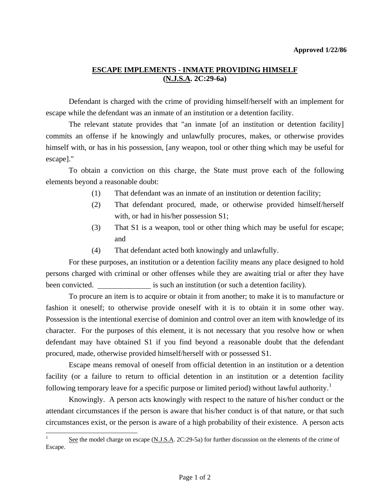## **ESCAPE IMPLEMENTS - INMATE PROVIDING HIMSELF (N.J.S.A. 2C:29-6a)**

 Defendant is charged with the crime of providing himself/herself with an implement for escape while the defendant was an inmate of an institution or a detention facility.

The relevant statute provides that "an inmate [of an institution or detention facility] commits an offense if he knowingly and unlawfully procures, makes, or otherwise provides himself with, or has in his possession, [any weapon, tool or other thing which may be useful for escape]."

 To obtain a conviction on this charge, the State must prove each of the following elements beyond a reasonable doubt:

- (1) That defendant was an inmate of an institution or detention facility;
- (2) That defendant procured, made, or otherwise provided himself/herself with, or had in his/her possession S1;
- (3) That S1 is a weapon, tool or other thing which may be useful for escape; and
- (4) That defendant acted both knowingly and unlawfully.

 For these purposes, an institution or a detention facility means any place designed to hold persons charged with criminal or other offenses while they are awaiting trial or after they have been convicted. **is such an institution** (or such a detention facility).

 To procure an item is to acquire or obtain it from another; to make it is to manufacture or fashion it oneself; to otherwise provide oneself with it is to obtain it in some other way. Possession is the intentional exercise of dominion and control over an item with knowledge of its character. For the purposes of this element, it is not necessary that you resolve how or when defendant may have obtained S1 if you find beyond a reasonable doubt that the defendant procured, made, otherwise provided himself/herself with or possessed S1.

 Escape means removal of oneself from official detention in an institution or a detention facility (or a failure to return to official detention in an institution or a detention facility following temporary leave for a specific purpose or limited period) without lawful authority.<sup>[1](#page-0-0)</sup>

 Knowingly. A person acts knowingly with respect to the nature of his/her conduct or the attendant circumstances if the person is aware that his/her conduct is of that nature, or that such circumstances exist, or the person is aware of a high probability of their existence. A person acts

 $\overline{\phantom{a}}$ 

<span id="page-0-1"></span><span id="page-0-0"></span>See the model charge on escape (N.J.S.A. 2C:29-5a) for further discussion on the elements of the crime of Escape.